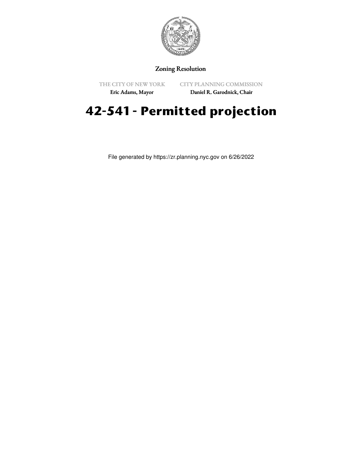

## Zoning Resolution

THE CITY OF NEW YORK Eric Adams, Mayor

CITY PLANNING COMMISSION

Daniel R. Garodnick, Chair

## **42-541 - Permitted projection**

File generated by https://zr.planning.nyc.gov on 6/26/2022